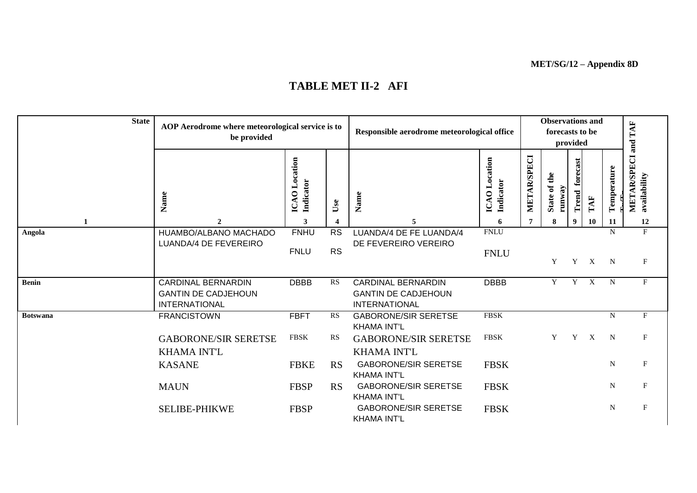**MET/SG/12 – Appendix 8D**

| <b>State</b> | AOP Aerodrome where meteorological service is to<br>be provided                 |                            |                          | Responsible aerodrome meteorological office                                     |                            |             | <b>Observations and</b><br>forecasts to be | provided          |                           |             | TAF<br>and                                    |  |
|--------------|---------------------------------------------------------------------------------|----------------------------|--------------------------|---------------------------------------------------------------------------------|----------------------------|-------------|--------------------------------------------|-------------------|---------------------------|-------------|-----------------------------------------------|--|
|              | Name                                                                            | ICAO Location<br>Indicator | Use                      | Name                                                                            | ICAO Location<br>Indicator | METAR/SPECI | State of the<br>runway                     | forecast<br>Trend | TAF                       | Temperature | <b>AR/SPECI</b><br>availability<br><b>MET</b> |  |
| 1            | $\mathbf{2}$                                                                    | 3                          | $\overline{\mathcal{L}}$ | 5                                                                               | 6                          | 7           | 8                                          | 9                 | <b>10</b>                 | 11          | 12                                            |  |
| Angola       | HUAMBO/ALBANO MACHADO<br>LUANDA/4 DE FEVEREIRO                                  | <b>FNHU</b><br><b>FNLU</b> | <b>RS</b><br><b>RS</b>   | LUANDA/4 DE FE LUANDA/4<br>DE FEVEREIRO VEREIRO                                 | <b>FNLU</b><br><b>FNLU</b> |             | Y                                          | Y                 | $\boldsymbol{\mathrm{X}}$ | N<br>N      | $\mathbf F$<br>$\mathbf F$                    |  |
| Benin        | <b>CARDINAL BERNARDIN</b><br><b>GANTIN DE CADJEHOUN</b><br><b>INTERNATIONAL</b> | <b>DBBB</b>                | <b>RS</b>                | <b>CARDINAL BERNARDIN</b><br><b>GANTIN DE CADJEHOUN</b><br><b>INTERNATIONAL</b> | <b>DBBB</b>                |             | Y                                          | Y                 | $\boldsymbol{\mathrm{X}}$ | $\mathbf N$ | F                                             |  |
| Botswana     | <b>FRANCISTOWN</b>                                                              | <b>FBFT</b>                | RS                       | <b>GABORONE/SIR SERETSE</b><br><b>KHAMA INT'L</b>                               | <b>FBSK</b>                |             |                                            |                   |                           | N           | F                                             |  |
|              | <b>GABORONE/SIR SERETSE</b><br><b>KHAMA INT'L</b>                               | <b>FBSK</b>                | <b>RS</b>                | <b>GABORONE/SIR SERETSE</b><br><b>KHAMA INT'L</b>                               | <b>FBSK</b>                |             | Y                                          | Y                 | $\boldsymbol{\mathrm{X}}$ | $\mathbf N$ | F                                             |  |
|              | <b>KASANE</b>                                                                   | <b>FBKE</b>                | RS                       | <b>GABORONE/SIR SERETSE</b><br><b>KHAMA INT'L</b>                               | <b>FBSK</b>                |             |                                            |                   |                           | ${\bf N}$   | F                                             |  |
|              | <b>MAUN</b>                                                                     | <b>FBSP</b>                | RS                       | <b>GABORONE/SIR SERETSE</b><br><b>KHAMA INT'L</b>                               | <b>FBSK</b>                |             |                                            |                   |                           | $\mathbf N$ | $\mathbf{F}$                                  |  |
|              | <b>SELIBE-PHIKWE</b>                                                            | <b>FBSP</b>                |                          | <b>GABORONE/SIR SERETSE</b><br><b>KHAMA INT'L</b>                               | <b>FBSK</b>                |             |                                            |                   |                           | $\mathbf N$ | F                                             |  |

## **TABLE MET II-2 AFI**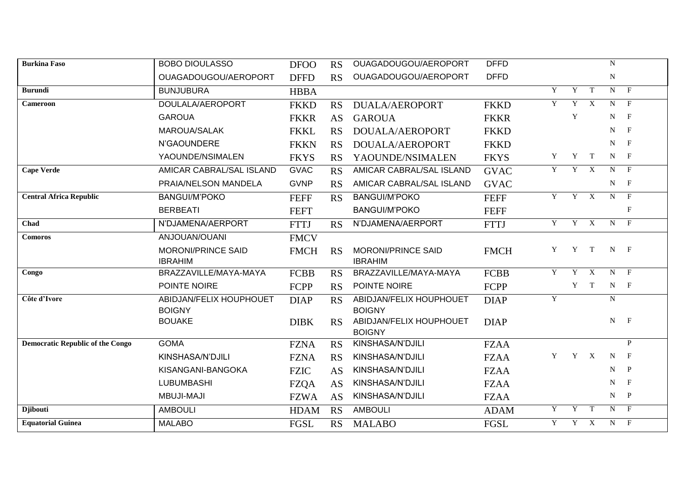| <b>Burkina Faso</b>                     | <b>BOBO DIOULASSO</b>                    | <b>DFOO</b> | <b>RS</b> | OUAGADOUGOU/AEROPORT                     | <b>DFFD</b> |                |     |                           | $\mathbf N$ |              |
|-----------------------------------------|------------------------------------------|-------------|-----------|------------------------------------------|-------------|----------------|-----|---------------------------|-------------|--------------|
|                                         | OUAGADOUGOU/AEROPORT                     | <b>DFFD</b> | RS        | OUAGADOUGOU/AEROPORT                     | <b>DFFD</b> |                |     |                           | ${\bf N}$   |              |
| <b>Burundi</b>                          | <b>BUNJUBURA</b>                         | <b>HBBA</b> |           |                                          |             | $\mathbf Y$    | Y   | T                         | $N$ F       |              |
| <b>Cameroon</b>                         | DOULALA/AEROPORT                         | <b>FKKD</b> | RS        | DUALA/AEROPORT                           | <b>FKKD</b> | Y              | Y   | X                         | N           | $\mathbf{F}$ |
|                                         | <b>GAROUA</b>                            | <b>FKKR</b> | AS        | <b>GAROUA</b>                            | <b>FKKR</b> |                | Y   |                           | N           | $\mathbf{F}$ |
|                                         | <b>MAROUA/SALAK</b>                      | <b>FKKL</b> | RS        | DOUALA/AEROPORT                          | <b>FKKD</b> |                |     |                           | N           | $\mathbf{F}$ |
|                                         | N'GAOUNDERE                              | <b>FKKN</b> | <b>RS</b> | DOUALA/AEROPORT                          | <b>FKKD</b> |                |     |                           | N           | $\mathbf{F}$ |
|                                         | YAOUNDE/NSIMALEN                         | <b>FKYS</b> | <b>RS</b> | YAOUNDE/NSIMALEN                         | <b>FKYS</b> | Y              | Y   | $\mathbf{T}$              | $N$ F       |              |
| <b>Cape Verde</b>                       | AMICAR CABRAL/SAL ISLAND                 | <b>GVAC</b> | RS        | AMICAR CABRAL/SAL ISLAND                 | <b>GVAC</b> | Y              | Y X |                           | $N$ F       |              |
|                                         | PRAIA/NELSON MANDELA                     | <b>GVNP</b> | <b>RS</b> | AMICAR CABRAL/SAL ISLAND                 | <b>GVAC</b> |                |     |                           | $N_{\rm}$   | $\mathbf{F}$ |
| <b>Central Africa Republic</b>          | <b>BANGUI/M'POKO</b>                     | <b>FEFF</b> | <b>RS</b> | <b>BANGUI/M'POKO</b>                     | <b>FEFF</b> | $\overline{Y}$ | Y   | $\overline{X}$            | N           | $\mathbf{F}$ |
|                                         | <b>BERBEATI</b>                          | <b>FEFT</b> |           | <b>BANGUI/M'POKO</b>                     | <b>FEFF</b> |                |     |                           |             | $\mathbf{F}$ |
| Chad                                    | N'DJAMENA/AERPORT                        | <b>FTTJ</b> | RS        | N'DJAMENA/AERPORT                        | <b>FTTJ</b> | Y              | Y   | $\boldsymbol{\mathrm{X}}$ | N           | $\mathbf{F}$ |
| <b>Comoros</b>                          | ANJOUAN/OUANI                            | <b>FMCV</b> |           |                                          |             |                |     |                           |             |              |
|                                         | <b>MORONI/PRINCE SAID</b>                | <b>FMCH</b> | <b>RS</b> | <b>MORONI/PRINCE SAID</b>                | <b>FMCH</b> | Y              | Y   | T                         | $N$ F       |              |
|                                         | <b>IBRAHIM</b>                           |             |           | <b>IBRAHIM</b>                           |             |                |     |                           |             |              |
| Congo                                   | BRAZZAVILLE/MAYA-MAYA                    | <b>FCBB</b> | <b>RS</b> | BRAZZAVILLE/MAYA-MAYA                    | <b>FCBB</b> | Y              | Y   | X                         | N           | $\mathbf{F}$ |
|                                         | POINTE NOIRE                             | FCPP        | RS        | POINTE NOIRE                             | FCPP        |                | Y   | $\mathbf{T}$              | $N$ F       |              |
| Côte d'Ivore                            | ABIDJAN/FELIX HOUPHOUET<br><b>BOIGNY</b> | <b>DIAP</b> | RS        | ABIDJAN/FELIX HOUPHOUET<br><b>BOIGNY</b> | <b>DIAP</b> | $\mathbf Y$    |     |                           | N           |              |
|                                         | <b>BOUAKE</b>                            | <b>DIBK</b> | RS        | ABIDJAN/FELIX HOUPHOUET<br><b>BOIGNY</b> | <b>DIAP</b> |                |     |                           | $N$ F       |              |
| <b>Democratic Republic of the Congo</b> | <b>GOMA</b>                              | <b>FZNA</b> | <b>RS</b> | KINSHASA/N'DJILI                         | <b>FZAA</b> |                |     |                           |             | P            |
|                                         | KINSHASA/N'DJILI                         | <b>FZNA</b> | <b>RS</b> | KINSHASA/N'DJILI                         | <b>FZAA</b> | Y              | Y X |                           | N           | $\mathbf{F}$ |
|                                         | KISANGANI-BANGOKA                        | <b>FZIC</b> | AS        | KINSHASA/N'DJILI                         | <b>FZAA</b> |                |     |                           | N           | $\mathbf{P}$ |
|                                         | <b>LUBUMBASHI</b>                        | <b>FZQA</b> | AS        | KINSHASA/N'DJILI                         | <b>FZAA</b> |                |     |                           | N           | $\mathbf F$  |
|                                         | <b>MBUJI-MAJI</b>                        | <b>FZWA</b> | AS        | KINSHASA/N'DJILI                         | <b>FZAA</b> |                |     |                           | $N$ $P$     |              |
| <b>Djibouti</b>                         | <b>AMBOULI</b>                           | <b>HDAM</b> | <b>RS</b> | <b>AMBOULI</b>                           | <b>ADAM</b> | Y              | Y   | $\mathbf T$               | N           | $\mathbf{F}$ |
| <b>Equatorial Guinea</b>                | <b>MALABO</b>                            | <b>FGSL</b> | RS        | <b>MALABO</b>                            | FGSL        | Y              | Y   | $\mathbf{X}$              | N           | $\mathbf{F}$ |
|                                         |                                          |             |           |                                          |             |                |     |                           |             |              |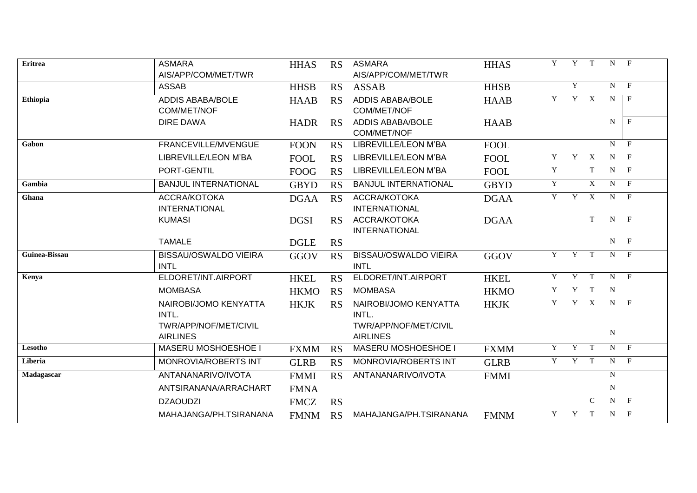| Eritrea       | <b>ASMARA</b><br>AIS/APP/COM/MET/TWR        | <b>HHAS</b> | <b>RS</b> | <b>ASMARA</b><br>AIS/APP/COM/MET/TWR        | <b>HHAS</b> | Y | Y              | T                         |                | $N$ F          |
|---------------|---------------------------------------------|-------------|-----------|---------------------------------------------|-------------|---|----------------|---------------------------|----------------|----------------|
|               | <b>ASSAB</b>                                | <b>HHSB</b> | RS        | <b>ASSAB</b>                                | <b>HHSB</b> |   | Y              |                           |                | $N$ F          |
| Ethiopia      | <b>ADDIS ABABA/BOLE</b><br>COM/MET/NOF      | <b>HAAB</b> | RS        | <b>ADDIS ABABA/BOLE</b><br>COM/MET/NOF      | <b>HAAB</b> | Y | $\overline{Y}$ | $\overline{X}$            | N              | $\mathbf{F}$   |
|               | <b>DIRE DAWA</b>                            | <b>HADR</b> | RS        | <b>ADDIS ABABA/BOLE</b><br>COM/MET/NOF      | <b>HAAB</b> |   |                |                           | $\mathbf N$    | $\mathbf{F}$   |
| Gabon         | FRANCEVILLE/MVENGUE                         | <b>FOON</b> | RS        | LIBREVILLE/LEON M'BA                        | <b>FOOL</b> |   |                |                           |                | $N$ F          |
|               | LIBREVILLE/LEON M'BA                        | <b>FOOL</b> | RS        | LIBREVILLE/LEON M'BA                        | <b>FOOL</b> | Y | Y              | X                         | $N$ F          |                |
|               | PORT-GENTIL                                 | <b>FOOG</b> | RS        | LIBREVILLE/LEON M'BA                        | <b>FOOL</b> | Y |                | T                         | $N$ F          |                |
| Gambia        | <b>BANJUL INTERNATIONAL</b>                 | <b>GBYD</b> | <b>RS</b> | <b>BANJUL INTERNATIONAL</b>                 | <b>GBYD</b> | Y |                | X                         | N              | $\mathbf{F}$   |
| Ghana         | ACCRA/KOTOKA<br><b>INTERNATIONAL</b>        | <b>DGAA</b> | RS        | ACCRA/KOTOKA<br><b>INTERNATIONAL</b>        | <b>DGAA</b> | Y | Y              | $\mathbf X$               | $N$ F          |                |
|               | <b>KUMASI</b>                               | <b>DGSI</b> | RS        | ACCRA/KOTOKA<br><b>INTERNATIONAL</b>        | <b>DGAA</b> |   |                | T                         | $N$ F          |                |
|               | <b>TAMALE</b>                               | <b>DGLE</b> | <b>RS</b> |                                             |             |   |                |                           | $N$ F          |                |
| Guinea-Bissau | <b>BISSAU/OSWALDO VIEIRA</b><br><b>INTL</b> | GGOV        | <b>RS</b> | <b>BISSAU/OSWALDO VIEIRA</b><br><b>INTL</b> | <b>GGOV</b> | Y | Y              | T                         | $\overline{N}$ | $\overline{F}$ |
| Kenya         | ELDORET/INT.AIRPORT                         | <b>HKEL</b> | <b>RS</b> | ELDORET/INT.AIRPORT                         | <b>HKEL</b> | Y | Y              | T                         | $N$ F          |                |
|               | <b>MOMBASA</b>                              | <b>HKMO</b> | <b>RS</b> | <b>MOMBASA</b>                              | <b>HKMO</b> | Y | Y              | T                         | $\mathbf N$    |                |
|               | NAIROBI/JOMO KENYATTA<br>INTL.              | <b>HKJK</b> | <b>RS</b> | NAIROBI/JOMO KENYATTA<br>INTL.              | <b>HKJK</b> | Y | Y              | $\boldsymbol{\mathrm{X}}$ | $N$ F          |                |
|               | TWR/APP/NOF/MET/CIVIL<br><b>AIRLINES</b>    |             |           | TWR/APP/NOF/MET/CIVIL<br><b>AIRLINES</b>    |             |   |                |                           | ${\bf N}$      |                |
| Lesotho       | <b>MASERU MOSHOESHOE I</b>                  | <b>FXMM</b> | <b>RS</b> | MASERU MOSHOESHOE I                         | <b>FXMM</b> | Y | $\overline{Y}$ | T                         | $\overline{N}$ | $\overline{F}$ |
| Liberia       | MONROVIA/ROBERTS INT                        | <b>GLRB</b> | RS        | MONROVIA/ROBERTS INT                        | <b>GLRB</b> | Y | $\overline{Y}$ | T                         |                | $N$ F          |
| Madagascar    | ANTANANARIVO/IVOTA                          | <b>FMMI</b> | RS        | ANTANANARIVO/IVOTA                          | <b>FMMI</b> |   |                |                           | $\overline{N}$ |                |
|               | ANTSIRANANA/ARRACHART                       | <b>FMNA</b> |           |                                             |             |   |                |                           | $\mathbf N$    |                |
|               | <b>DZAOUDZI</b>                             | <b>FMCZ</b> | <b>RS</b> |                                             |             |   |                | $\mathsf{C}$              |                | $N$ F          |
|               | MAHAJANGA/PH.TSIRANANA                      | <b>FMNM</b> | <b>RS</b> | MAHAJANGA/PH.TSIRANANA                      | <b>FMNM</b> | Y | Y              | T                         | $N$ F          |                |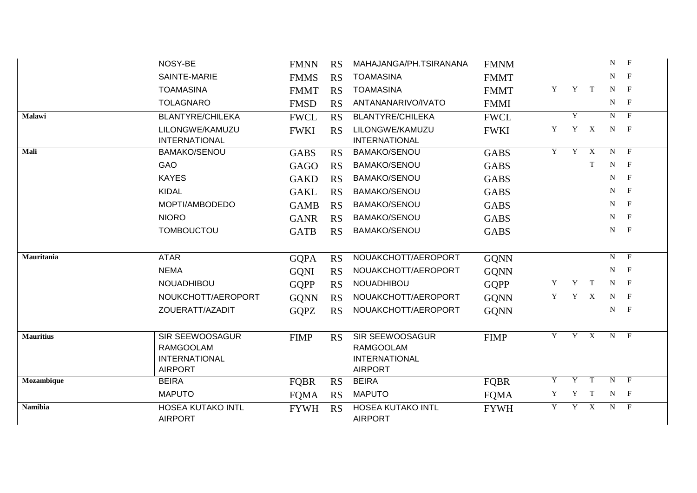|                  | NOSY-BE                                                                              | <b>FMNN</b> | <b>RS</b> | MAHAJANGA/PH.TSIRANANA                                                               | <b>FMNM</b> |   |   |                           | N           | $\mathbf{F}$   |
|------------------|--------------------------------------------------------------------------------------|-------------|-----------|--------------------------------------------------------------------------------------|-------------|---|---|---------------------------|-------------|----------------|
|                  | SAINTE-MARIE                                                                         | <b>FMMS</b> | <b>RS</b> | <b>TOAMASINA</b>                                                                     | <b>FMMT</b> |   |   |                           | N           | $\mathbf{F}$   |
|                  | <b>TOAMASINA</b>                                                                     | <b>FMMT</b> | <b>RS</b> | <b>TOAMASINA</b>                                                                     | <b>FMMT</b> | Y |   | Y T                       | $N$ F       |                |
|                  | <b>TOLAGNARO</b>                                                                     | <b>FMSD</b> | <b>RS</b> | ANTANANARIVO/IVATO                                                                   | <b>FMMI</b> |   |   |                           | $N$ F       |                |
| <b>Malawi</b>    | <b>BLANTYRE/CHILEKA</b>                                                              | <b>FWCL</b> | RS        | <b>BLANTYRE/CHILEKA</b>                                                              | <b>FWCL</b> |   | Y |                           |             | $N$ F          |
|                  | LILONGWE/KAMUZU<br><b>INTERNATIONAL</b>                                              | <b>FWKI</b> | <b>RS</b> | LILONGWE/KAMUZU<br><b>INTERNATIONAL</b>                                              | <b>FWKI</b> | Y | Y | X                         | $N$ F       |                |
| Mali             | <b>BAMAKO/SENOU</b>                                                                  | <b>GABS</b> | <b>RS</b> | <b>BAMAKO/SENOU</b>                                                                  | <b>GABS</b> | Y | Y | $\boldsymbol{\mathrm{X}}$ | $N$ F       |                |
|                  | <b>GAO</b>                                                                           | <b>GAGO</b> | <b>RS</b> | <b>BAMAKO/SENOU</b>                                                                  | <b>GABS</b> |   |   | T                         | $N_{\odot}$ | $\overline{F}$ |
|                  | <b>KAYES</b>                                                                         | <b>GAKD</b> | <b>RS</b> | <b>BAMAKO/SENOU</b>                                                                  | <b>GABS</b> |   |   |                           | $N$ F       |                |
|                  | <b>KIDAL</b>                                                                         | <b>GAKL</b> | <b>RS</b> | <b>BAMAKO/SENOU</b>                                                                  | <b>GABS</b> |   |   |                           | N           | $\mathbf{F}$   |
|                  | MOPTI/AMBODEDO                                                                       | <b>GAMB</b> | <b>RS</b> | <b>BAMAKO/SENOU</b>                                                                  | <b>GABS</b> |   |   |                           | N           | $\mathbf{F}$   |
|                  | <b>NIORO</b>                                                                         | <b>GANR</b> | <b>RS</b> | <b>BAMAKO/SENOU</b>                                                                  | <b>GABS</b> |   |   |                           | $N$ F       |                |
|                  | <b>TOMBOUCTOU</b>                                                                    | <b>GATB</b> | <b>RS</b> | <b>BAMAKO/SENOU</b>                                                                  | <b>GABS</b> |   |   |                           | $N$ F       |                |
| Mauritania       | <b>ATAR</b>                                                                          | <b>GQPA</b> | <b>RS</b> | NOUAKCHOTT/AEROPORT                                                                  | <b>GQNN</b> |   |   |                           |             | $N$ F          |
|                  | <b>NEMA</b>                                                                          | <b>GQNI</b> | <b>RS</b> | NOUAKCHOTT/AEROPORT                                                                  | <b>GQNN</b> |   |   |                           | N           | $\mathbf{F}$   |
|                  | NOUADHIBOU                                                                           | <b>GQPP</b> | <b>RS</b> | NOUADHIBOU                                                                           | <b>GQPP</b> | Y | Y | T                         | $N$ F       |                |
|                  | NOUKCHOTT/AEROPORT                                                                   | <b>GQNN</b> | <b>RS</b> | NOUAKCHOTT/AEROPORT                                                                  | <b>GQNN</b> | Y |   | Y X                       | $N$ F       |                |
|                  | ZOUERATT/AZADIT                                                                      | <b>GQPZ</b> | <b>RS</b> | NOUAKCHOTT/AEROPORT                                                                  | <b>GQNN</b> |   |   |                           | $N$ F       |                |
| <b>Mauritius</b> | <b>SIR SEEWOOSAGUR</b><br><b>RAMGOOLAM</b><br><b>INTERNATIONAL</b><br><b>AIRPORT</b> | <b>FIMP</b> | RS        | <b>SIR SEEWOOSAGUR</b><br><b>RAMGOOLAM</b><br><b>INTERNATIONAL</b><br><b>AIRPORT</b> | <b>FIMP</b> | Y |   | Y X                       | $N$ F       |                |
| Mozambique       | <b>BEIRA</b>                                                                         | <b>FOBR</b> | <b>RS</b> | <b>BEIRA</b>                                                                         | <b>FQBR</b> | Y | Y | $\mathbf{T}$              | $N$ F       |                |
|                  | <b>MAPUTO</b>                                                                        | <b>FQMA</b> | <b>RS</b> | <b>MAPUTO</b>                                                                        | <b>FQMA</b> | Y | Y | T                         | $N$ F       |                |
| <b>Namibia</b>   | <b>HOSEA KUTAKO INTL</b><br><b>AIRPORT</b>                                           | <b>FYWH</b> | <b>RS</b> | <b>HOSEA KUTAKO INTL</b><br><b>AIRPORT</b>                                           | <b>FYWH</b> | Y | Y | $\boldsymbol{\mathrm{X}}$ | $N_{\odot}$ | $\mathbf{F}$   |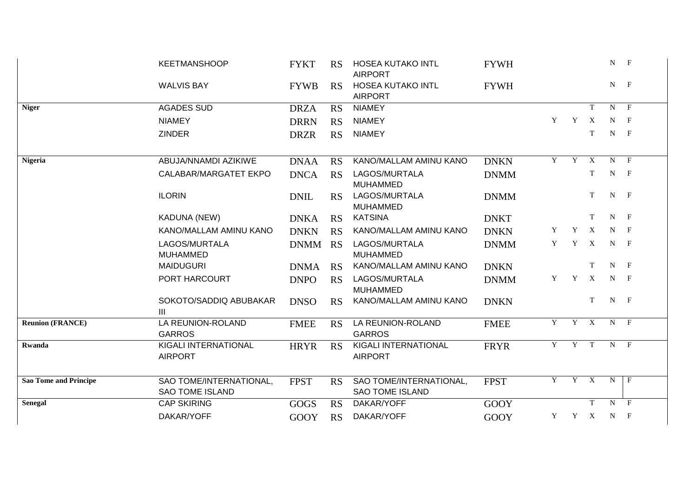|                                                            | <b>KEETMANSHOOP</b>                               | <b>FYKT</b> | <b>RS</b>                        | <b>HOSEA KUTAKO INTL</b><br><b>AIRPORT</b>        | <b>FYWH</b> |   |              |                           | N              | $\mathbf{F}$   |
|------------------------------------------------------------|---------------------------------------------------|-------------|----------------------------------|---------------------------------------------------|-------------|---|--------------|---------------------------|----------------|----------------|
|                                                            | <b>WALVIS BAY</b>                                 | <b>FYWB</b> | RS                               | <b>HOSEA KUTAKO INTL</b><br><b>AIRPORT</b>        | <b>FYWH</b> |   |              |                           | $N$ F          |                |
| <b>Niger</b>                                               | <b>AGADES SUD</b>                                 | <b>DRZA</b> | <b>RS</b>                        | <b>NIAMEY</b>                                     |             |   |              | T                         | $\mathbf N$    | $\mathbf{F}$   |
|                                                            | <b>NIAMEY</b>                                     | <b>DRRN</b> | <b>RS</b>                        | <b>NIAMEY</b>                                     |             | Y | $\mathbf Y$  | $\mathbf{X}$              | N              | $\mathbf{F}$   |
|                                                            | <b>ZINDER</b>                                     | <b>DRZR</b> | <b>RS</b>                        | <b>NIAMEY</b>                                     |             |   |              | T                         | $N$ F          |                |
| <b>Nigeria</b>                                             | ABUJA/NNAMDI AZIKIWE                              | <b>DNAA</b> | <b>RS</b>                        | KANO/MALLAM AMINU KANO                            | <b>DNKN</b> | Y | Y            | $\boldsymbol{\mathrm{X}}$ | N              | $\mathbf{F}$   |
|                                                            | CALABAR/MARGATET EKPO                             | <b>DNCA</b> | <b>RS</b>                        | LAGOS/MURTALA<br><b>MUHAMMED</b>                  | <b>DNMM</b> |   |              | T                         | N              | $\mathbf{F}$   |
|                                                            | <b>ILORIN</b>                                     | <b>DNIL</b> | <b>RS</b>                        | LAGOS/MURTALA<br><b>MUHAMMED</b>                  | <b>DNMM</b> |   |              | T                         | N              | $\mathbf{F}$   |
|                                                            | <b>KADUNA (NEW)</b>                               | <b>DNKA</b> | <b>RS</b>                        | <b>KATSINA</b>                                    | <b>DNKT</b> |   |              | T                         | N              | $\mathbf{F}$   |
| KANO/MALLAM AMINU KANO<br>LAGOS/MURTALA<br><b>MUHAMMED</b> |                                                   | <b>DNKN</b> | <b>RS</b>                        | KANO/MALLAM AMINU KANO                            | <b>DNKN</b> | Y | Y            | $\mathbf{X}$              | N              | $\mathbf{F}$   |
|                                                            | <b>DNMM</b>                                       | <b>RS</b>   | LAGOS/MURTALA<br><b>MUHAMMED</b> | <b>DNMM</b>                                       | Y           | Y | $\mathbf{X}$ | N                         | $\mathbf{F}$   |                |
|                                                            | <b>MAIDUGURI</b>                                  | <b>DNMA</b> | <b>RS</b>                        | KANO/MALLAM AMINU KANO                            | <b>DNKN</b> |   |              | T                         | $\mathbf N$    | $\mathbf{F}$   |
|                                                            | PORT HARCOURT                                     | <b>DNPO</b> | <b>RS</b>                        | LAGOS/MURTALA<br><b>MUHAMMED</b>                  | <b>DNMM</b> | Y | Y            | $\mathbf{X}$              | N              | $\mathbf{F}$   |
|                                                            | SOKOTO/SADDIQ ABUBAKAR<br>Ш                       | <b>DNSO</b> | <b>RS</b>                        | KANO/MALLAM AMINU KANO                            | <b>DNKN</b> |   |              | T                         | N              | $\mathbf{F}$   |
| <b>Reunion (FRANCE)</b>                                    | LA REUNION-ROLAND<br><b>GARROS</b>                | <b>FMEE</b> | <b>RS</b>                        | LA REUNION-ROLAND<br><b>GARROS</b>                | <b>FMEE</b> | Y | Y            | $\overline{X}$            | $N$ F          |                |
| Rwanda                                                     | KIGALI INTERNATIONAL<br><b>AIRPORT</b>            | <b>HRYR</b> | <b>RS</b>                        | KIGALI INTERNATIONAL<br><b>AIRPORT</b>            | <b>FRYR</b> | Y | Y T          |                           | $N$ F          |                |
| <b>Sao Tome and Principe</b>                               | SAO TOME/INTERNATIONAL,<br><b>SAO TOME ISLAND</b> | <b>FPST</b> | <b>RS</b>                        | SAO TOME/INTERNATIONAL,<br><b>SAO TOME ISLAND</b> | <b>FPST</b> | Y |              | Y X                       | N              | $\mathsf{F}$   |
| <b>Senegal</b>                                             | <b>CAP SKIRING</b>                                | <b>GOGS</b> | <b>RS</b>                        | DAKAR/YOFF                                        | <b>GOOY</b> |   |              | $\mathbf T$               | $\overline{N}$ | $\mathbf{F}$   |
|                                                            | DAKAR/YOFF                                        | GOOY        | <b>RS</b>                        | DAKAR/YOFF                                        | <b>GOOY</b> | Y |              | Y X                       | N              | $\overline{F}$ |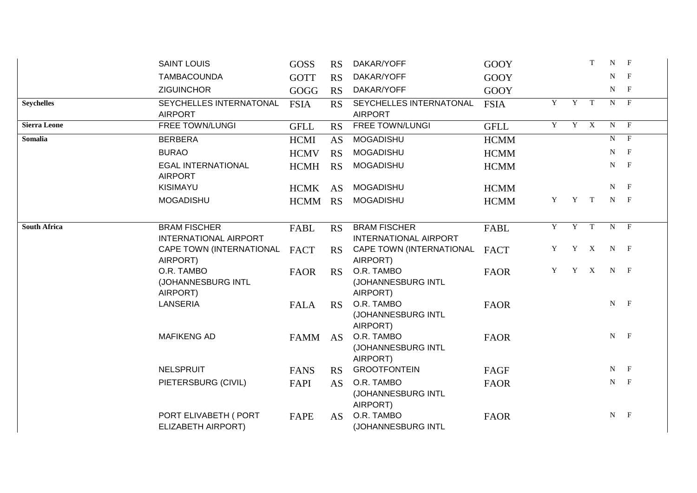|                     | <b>SAINT LOUIS</b>                                  | <b>GOSS</b> | <b>RS</b> | DAKAR/YOFF                                          | <b>GOOY</b> |                |       | T | ${\bf N}$ $ {\bf F}$ |                |
|---------------------|-----------------------------------------------------|-------------|-----------|-----------------------------------------------------|-------------|----------------|-------|---|----------------------|----------------|
|                     | <b>TAMBACOUNDA</b>                                  | <b>GOTT</b> | <b>RS</b> | DAKAR/YOFF                                          | <b>GOOY</b> |                |       |   | ${\bf N}$ $ {\bf F}$ |                |
|                     | <b>ZIGUINCHOR</b>                                   | GOGG        | <b>RS</b> | DAKAR/YOFF                                          | <b>GOOY</b> |                |       |   | $N$ F                |                |
| <b>Seychelles</b>   | SEYCHELLES INTERNATONAL<br><b>AIRPORT</b>           | <b>FSIA</b> | <b>RS</b> | SEYCHELLES INTERNATONAL<br><b>AIRPORT</b>           | <b>FSIA</b> | Y              | Y     | T | $N_{\rm}$            | $\overline{F}$ |
| <b>Sierra Leone</b> | FREE TOWN/LUNGI                                     | <b>GFLL</b> | <b>RS</b> | <b>FREE TOWN/LUNGI</b>                              | <b>GFLL</b> | $\overline{Y}$ | Y X   |   | $N$ F                |                |
| Somalia             | <b>BERBERA</b>                                      | <b>HCMI</b> | <b>AS</b> | <b>MOGADISHU</b>                                    | <b>HCMM</b> |                |       |   |                      | $N$ F          |
|                     | <b>BURAO</b>                                        | <b>HCMV</b> | <b>RS</b> | <b>MOGADISHU</b>                                    | <b>HCMM</b> |                |       |   | $N_{\odot}$          | $\mathbf{F}$   |
|                     | <b>EGAL INTERNATIONAL</b><br><b>AIRPORT</b>         | <b>HCMH</b> | <b>RS</b> | <b>MOGADISHU</b>                                    | <b>HCMM</b> |                |       |   | ${\bf N}$ $ {\bf F}$ |                |
|                     | KISIMAYU                                            | <b>HCMK</b> | AS        | <b>MOGADISHU</b>                                    | <b>HCMM</b> |                |       |   | $N$ F                |                |
|                     | <b>MOGADISHU</b>                                    | HCMM RS     |           | <b>MOGADISHU</b>                                    | <b>HCMM</b> | Y              | Y T   |   | $N$ F                |                |
| <b>South Africa</b> | <b>BRAM FISCHER</b><br><b>INTERNATIONAL AIRPORT</b> | FABL        | <b>RS</b> | <b>BRAM FISCHER</b><br><b>INTERNATIONAL AIRPORT</b> | FABL        | Y              | Y     | T |                      | $N$ F          |
|                     | CAPE TOWN (INTERNATIONAL<br>AIRPORT)                | <b>FACT</b> | <b>RS</b> | CAPE TOWN (INTERNATIONAL<br>AIRPORT)                | <b>FACT</b> | Y              | Y     | X | $N$ F                |                |
|                     | O.R. TAMBO<br>(JOHANNESBURG INTL<br>AIRPORT)        | <b>FAOR</b> | RS        | O.R. TAMBO<br>(JOHANNESBURG INTL<br>AIRPORT)        | <b>FAOR</b> | Y              | $Y$ X |   | $N$ F                |                |
|                     | <b>LANSERIA</b>                                     | <b>FALA</b> | RS        | O.R. TAMBO<br>(JOHANNESBURG INTL<br>AIRPORT)        | <b>FAOR</b> |                |       |   | ${\bf N}$ $ {\bf F}$ |                |
|                     | <b>MAFIKENG AD</b>                                  | <b>FAMM</b> | AS        | O.R. TAMBO<br>(JOHANNESBURG INTL<br>AIRPORT)        | <b>FAOR</b> |                |       |   | ${\bf N}$ $ {\bf F}$ |                |
|                     | <b>NELSPRUIT</b>                                    | <b>FANS</b> | <b>RS</b> | <b>GROOTFONTEIN</b>                                 | FAGF        |                |       |   | ${\bf N}$ $ {\bf F}$ |                |
|                     | PIETERSBURG (CIVIL)                                 | FAPI        | <b>AS</b> | O.R. TAMBO<br>(JOHANNESBURG INTL<br>AIRPORT)        | <b>FAOR</b> |                |       |   | ${\bf N}$ $ {\bf F}$ |                |
|                     | PORT ELIVABETH ( PORT<br>ELIZABETH AIRPORT)         | FAPE        | <b>AS</b> | O.R. TAMBO<br>(JOHANNESBURG INTL                    | <b>FAOR</b> |                |       |   | ${\bf N}$ $ {\bf F}$ |                |